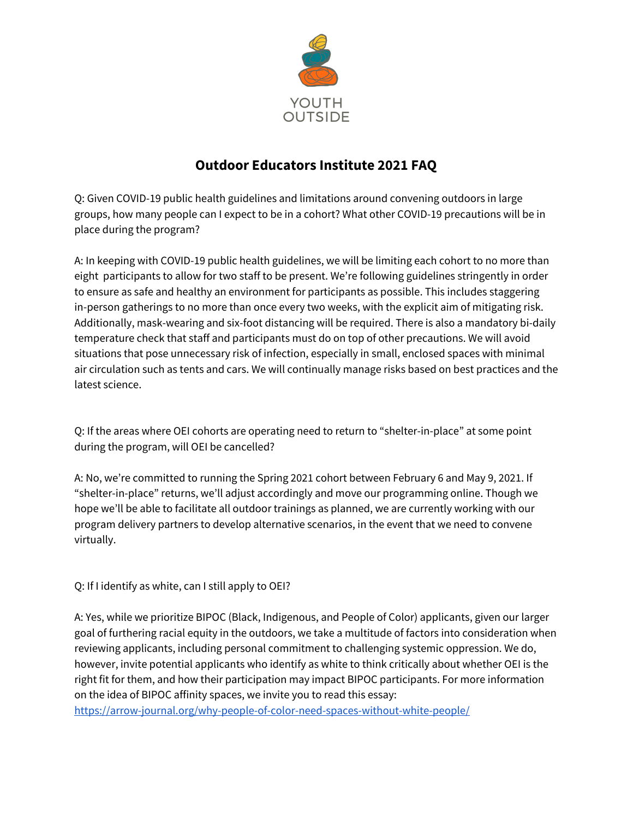

## **Outdoor Educators Institute 2021 FAQ**

Q: Given COVID-19 public health guidelines and limitations around convening outdoors in large groups, how many people can I expect to be in a cohort? What other COVID-19 precautions will be in place during the program?

A: In keeping with COVID-19 public health guidelines, we will be limiting each cohort to no more than eight participants to allow for two staff to be present. We're following guidelines stringently in order to ensure as safe and healthy an environment for participants as possible. This includes staggering in-person gatherings to no more than once every two weeks, with the explicit aim of mitigating risk. Additionally, mask-wearing and six-foot distancing will be required. There is also a mandatory bi-daily temperature check that staff and participants must do on top of other precautions. We will avoid situations that pose unnecessary risk of infection, especially in small, enclosed spaces with minimal air circulation such as tents and cars. We will continually manage risks based on best practices and the latest science.

Q: If the areas where OEI cohorts are operating need to return to "shelter-in-place" at some point during the program, will OEI be cancelled?

A: No, we're committed to running the Spring 2021 cohort between February 6 and May 9, 2021. If "shelter-in-place" returns, we'll adjust accordingly and move our programming online. Though we hope we'll be able to facilitate all outdoor trainings as planned, we are currently working with our program delivery partners to develop alternative scenarios, in the event that we need to convene virtually.

Q: If I identify as white, can I still apply to OEI?

A: Yes, while we prioritize BIPOC (Black, Indigenous, and People of Color) applicants, given our larger goal of furthering racial equity in the outdoors, we take a multitude of factors into consideration when reviewing applicants, including personal commitment to challenging systemic oppression. We do, however, invite potential applicants who identify as white to think critically about whether OEI is the right fit for them, and how their participation may impact BIPOC participants. For more information on the idea of BIPOC affinity spaces, we invite you to read this essay:

<https://arrow-journal.org/why-people-of-color-need-spaces-without-white-people/>